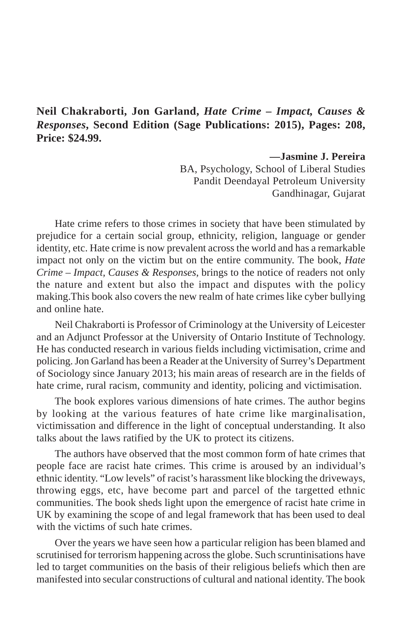## **Neil Chakraborti, Jon Garland,** *Hate Crime – Impact, Causes & Responses***, Second Edition (Sage Publications: 2015), Pages: 208, Price: \$24.99.**

**—Jasmine J. Pereira** BA, Psychology, School of Liberal Studies Pandit Deendayal Petroleum University Gandhinagar, Gujarat

Hate crime refers to those crimes in society that have been stimulated by prejudice for a certain social group, ethnicity, religion, language or gender identity, etc. Hate crime is now prevalent across the world and has a remarkable impact not only on the victim but on the entire community. The book, *Hate Crime – Impact, Causes & Responses,* brings to the notice of readers not only the nature and extent but also the impact and disputes with the policy making.This book also covers the new realm of hate crimes like cyber bullying and online hate.

Neil Chakraborti is Professor of Criminology at the University of Leicester and an Adjunct Professor at the University of Ontario Institute of Technology. He has conducted research in various fields including victimisation, crime and policing. Jon Garland has been a Reader at the University of Surrey's Department of Sociology since January 2013; his main areas of research are in the fields of hate crime, rural racism, community and identity, policing and victimisation.

The book explores various dimensions of hate crimes. The author begins by looking at the various features of hate crime like marginalisation, victimissation and difference in the light of conceptual understanding. It also talks about the laws ratified by the UK to protect its citizens.

The authors have observed that the most common form of hate crimes that people face are racist hate crimes. This crime is aroused by an individual's ethnic identity. "Low levels" of racist's harassment like blocking the driveways, throwing eggs, etc, have become part and parcel of the targetted ethnic communities. The book sheds light upon the emergence of racist hate crime in UK by examining the scope of and legal framework that has been used to deal with the victims of such hate crimes.

Over the years we have seen how a particular religion has been blamed and scrutinised for terrorism happening across the globe. Such scruntinisations have led to target communities on the basis of their religious beliefs which then are manifested into secular constructions of cultural and national identity. The book